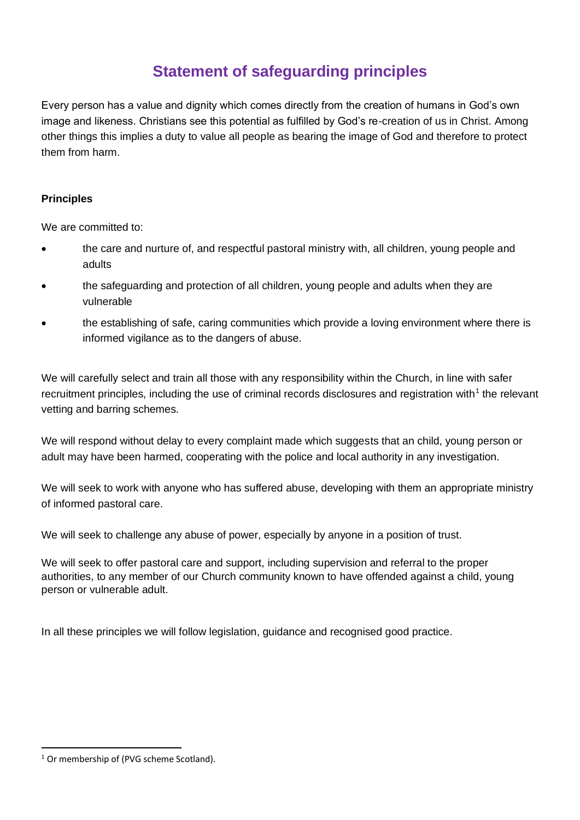# **Statement of safeguarding principles**

Every person has a value and dignity which comes directly from the creation of humans in God's own image and likeness. Christians see this potential as fulfilled by God's re-creation of us in Christ. Among other things this implies a duty to value all people as bearing the image of God and therefore to protect them from harm.

### **Principles**

We are committed to:

- the care and nurture of, and respectful pastoral ministry with, all children, young people and adults
- the safeguarding and protection of all children, young people and adults when they are vulnerable
- the establishing of safe, caring communities which provide a loving environment where there is informed vigilance as to the dangers of abuse.

We will carefully select and train all those with any responsibility within the Church, in line with safer recruitment principles, including the use of criminal records disclosures and registration with<sup>1</sup> the relevant vetting and barring schemes.

We will respond without delay to every complaint made which suggests that an child, young person or adult may have been harmed, cooperating with the police and local authority in any investigation.

We will seek to work with anyone who has suffered abuse, developing with them an appropriate ministry of informed pastoral care.

We will seek to challenge any abuse of power, especially by anyone in a position of trust.

We will seek to offer pastoral care and support, including supervision and referral to the proper authorities, to any member of our Church community known to have offended against a child, young person or vulnerable adult.

In all these principles we will follow legislation, guidance and recognised good practice.

<sup>&</sup>lt;sup>1</sup> Or membership of (PVG scheme Scotland).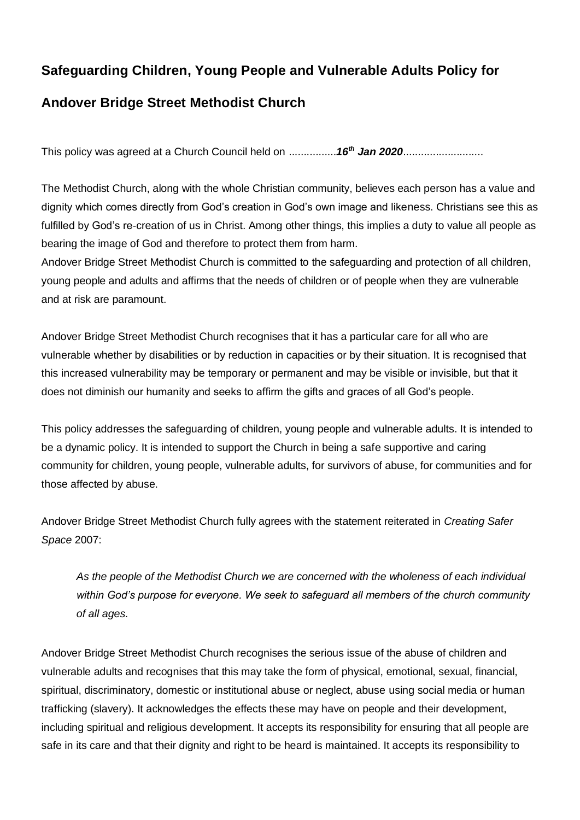# **Safeguarding Children, Young People and Vulnerable Adults Policy for**

# **Andover Bridge Street Methodist Church**

This policy was agreed at a Church Council held on ................*16th Jan 2020*...........................

The Methodist Church, along with the whole Christian community, believes each person has a value and dignity which comes directly from God's creation in God's own image and likeness. Christians see this as fulfilled by God's re-creation of us in Christ. Among other things, this implies a duty to value all people as bearing the image of God and therefore to protect them from harm.

Andover Bridge Street Methodist Church is committed to the safeguarding and protection of all children, young people and adults and affirms that the needs of children or of people when they are vulnerable and at risk are paramount.

Andover Bridge Street Methodist Church recognises that it has a particular care for all who are vulnerable whether by disabilities or by reduction in capacities or by their situation. It is recognised that this increased vulnerability may be temporary or permanent and may be visible or invisible, but that it does not diminish our humanity and seeks to affirm the gifts and graces of all God's people.

This policy addresses the safeguarding of children, young people and vulnerable adults. It is intended to be a dynamic policy. It is intended to support the Church in being a safe supportive and caring community for children, young people, vulnerable adults, for survivors of abuse, for communities and for those affected by abuse.

Andover Bridge Street Methodist Church fully agrees with the statement reiterated in *Creating Safer Space* 2007:

*As the people of the Methodist Church we are concerned with the wholeness of each individual within God's purpose for everyone. We seek to safeguard all members of the church community of all ages.* 

Andover Bridge Street Methodist Church recognises the serious issue of the abuse of children and vulnerable adults and recognises that this may take the form of physical, emotional, sexual, financial, spiritual, discriminatory, domestic or institutional abuse or neglect, abuse using social media or human trafficking (slavery). It acknowledges the effects these may have on people and their development, including spiritual and religious development. It accepts its responsibility for ensuring that all people are safe in its care and that their dignity and right to be heard is maintained. It accepts its responsibility to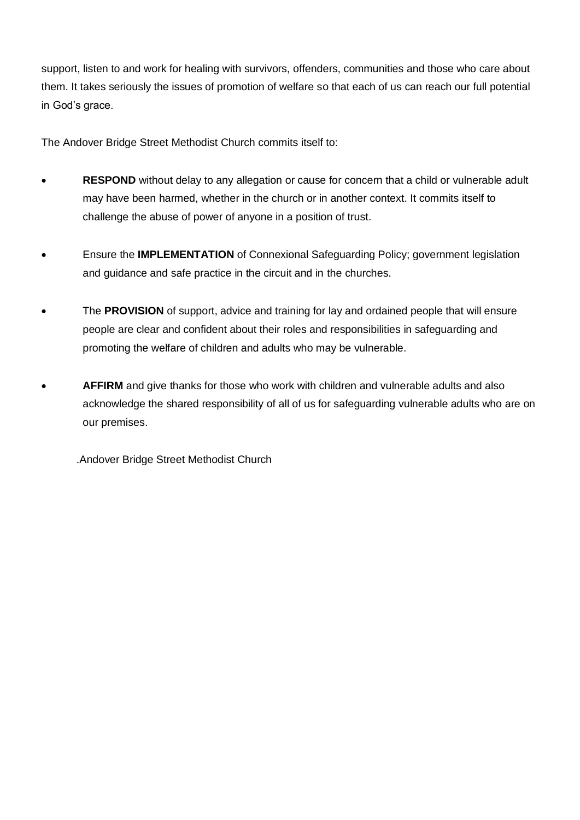support, listen to and work for healing with survivors, offenders, communities and those who care about them. It takes seriously the issues of promotion of welfare so that each of us can reach our full potential in God's grace.

The Andover Bridge Street Methodist Church commits itself to:

- **RESPOND** without delay to any allegation or cause for concern that a child or vulnerable adult may have been harmed, whether in the church or in another context. It commits itself to challenge the abuse of power of anyone in a position of trust.
- Ensure the **IMPLEMENTATION** of Connexional Safeguarding Policy; government legislation and guidance and safe practice in the circuit and in the churches.
- The **PROVISION** of support, advice and training for lay and ordained people that will ensure people are clear and confident about their roles and responsibilities in safeguarding and promoting the welfare of children and adults who may be vulnerable.
- **AFFIRM** and give thanks for those who work with children and vulnerable adults and also acknowledge the shared responsibility of all of us for safeguarding vulnerable adults who are on our premises.

.Andover Bridge Street Methodist Church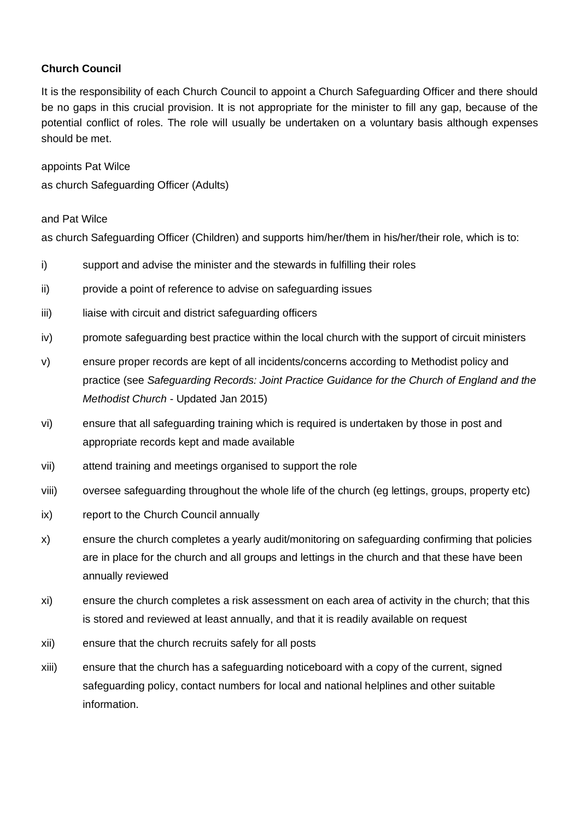### **Church Council**

It is the responsibility of each Church Council to appoint a Church Safeguarding Officer and there should be no gaps in this crucial provision. It is not appropriate for the minister to fill any gap, because of the potential conflict of roles. The role will usually be undertaken on a voluntary basis although expenses should be met.

appoints Pat Wilce as church Safeguarding Officer (Adults)

#### and Pat Wilce

as church Safeguarding Officer (Children) and supports him/her/them in his/her/their role, which is to:

- i) support and advise the minister and the stewards in fulfilling their roles
- ii) provide a point of reference to advise on safeguarding issues
- iii) liaise with circuit and district safeguarding officers
- iv) promote safeguarding best practice within the local church with the support of circuit ministers
- v) ensure proper records are kept of all incidents/concerns according to Methodist policy and practice (see *Safeguarding Records: Joint Practice Guidance for the Church of England and the Methodist Church* - Updated Jan 2015)
- vi) ensure that all safeguarding training which is required is undertaken by those in post and appropriate records kept and made available
- vii) attend training and meetings organised to support the role
- viii) oversee safeguarding throughout the whole life of the church (eg lettings, groups, property etc)
- ix) report to the Church Council annually
- x) ensure the church completes a yearly audit/monitoring on safeguarding confirming that policies are in place for the church and all groups and lettings in the church and that these have been annually reviewed
- xi) ensure the church completes a risk assessment on each area of activity in the church; that this is stored and reviewed at least annually, and that it is readily available on request
- xii) ensure that the church recruits safely for all posts
- xiii) ensure that the church has a safeguarding noticeboard with a copy of the current, signed safeguarding policy, contact numbers for local and national helplines and other suitable information.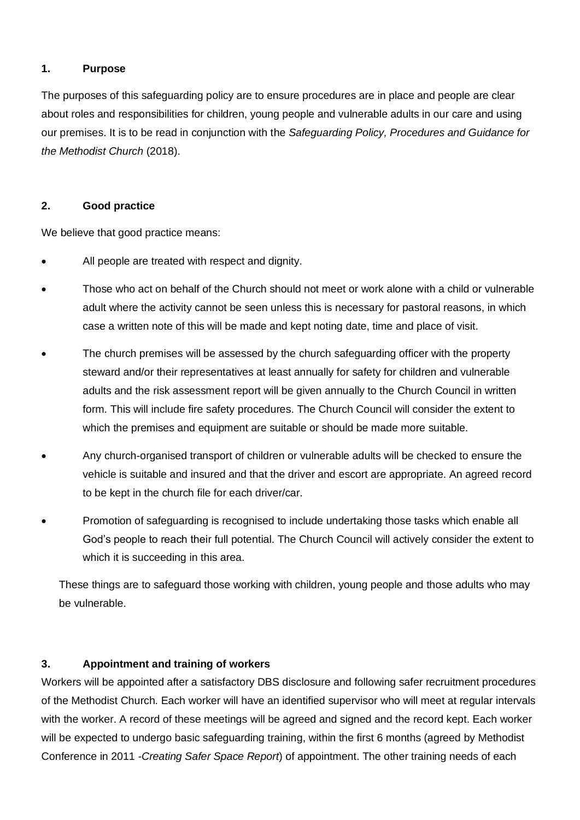#### **1. Purpose**

The purposes of this safeguarding policy are to ensure procedures are in place and people are clear about roles and responsibilities for children, young people and vulnerable adults in our care and using our premises. It is to be read in conjunction with the *Safeguarding Policy, Procedures and Guidance for the Methodist Church* (2018).

#### **2. Good practice**

We believe that good practice means:

- All people are treated with respect and dignity.
- Those who act on behalf of the Church should not meet or work alone with a child or vulnerable adult where the activity cannot be seen unless this is necessary for pastoral reasons, in which case a written note of this will be made and kept noting date, time and place of visit.
- The church premises will be assessed by the church safeguarding officer with the property steward and/or their representatives at least annually for safety for children and vulnerable adults and the risk assessment report will be given annually to the Church Council in written form. This will include fire safety procedures. The Church Council will consider the extent to which the premises and equipment are suitable or should be made more suitable.
- Any church-organised transport of children or vulnerable adults will be checked to ensure the vehicle is suitable and insured and that the driver and escort are appropriate. An agreed record to be kept in the church file for each driver/car.
- Promotion of safeguarding is recognised to include undertaking those tasks which enable all God's people to reach their full potential. The Church Council will actively consider the extent to which it is succeeding in this area.

These things are to safeguard those working with children, young people and those adults who may be vulnerable.

#### **3. Appointment and training of workers**

Workers will be appointed after a satisfactory DBS disclosure and following safer recruitment procedures of the Methodist Church. Each worker will have an identified supervisor who will meet at regular intervals with the worker. A record of these meetings will be agreed and signed and the record kept. Each worker will be expected to undergo basic safeguarding training, within the first 6 months (agreed by Methodist Conference in 2011 -*Creating Safer Space Report*) of appointment. The other training needs of each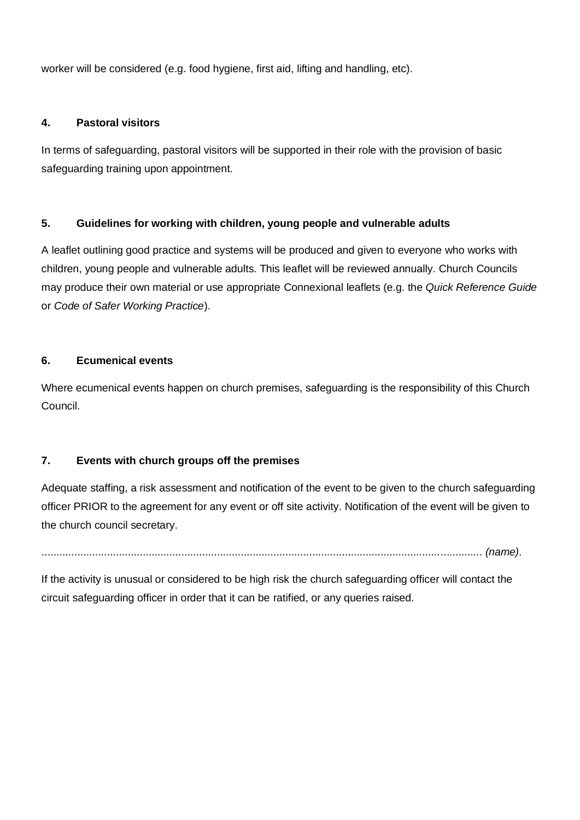worker will be considered (e.g. food hygiene, first aid, lifting and handling, etc).

#### **4. Pastoral visitors**

In terms of safeguarding, pastoral visitors will be supported in their role with the provision of basic safeguarding training upon appointment.

#### **5. Guidelines for working with children, young people and vulnerable adults**

A leaflet outlining good practice and systems will be produced and given to everyone who works with children, young people and vulnerable adults. This leaflet will be reviewed annually. Church Councils may produce their own material or use appropriate Connexional leaflets (e.g. the *Quick Reference Guide*  or *Code of Safer Working Practice*).

#### **6. Ecumenical events**

Where ecumenical events happen on church premises, safeguarding is the responsibility of this Church Council.

#### **7. Events with church groups off the premises**

Adequate staffing, a risk assessment and notification of the event to be given to the church safeguarding officer PRIOR to the agreement for any event or off site activity. Notification of the event will be given to the church council secretary.

.................................................................................................................................................... *(name)*.

If the activity is unusual or considered to be high risk the church safeguarding officer will contact the circuit safeguarding officer in order that it can be ratified, or any queries raised.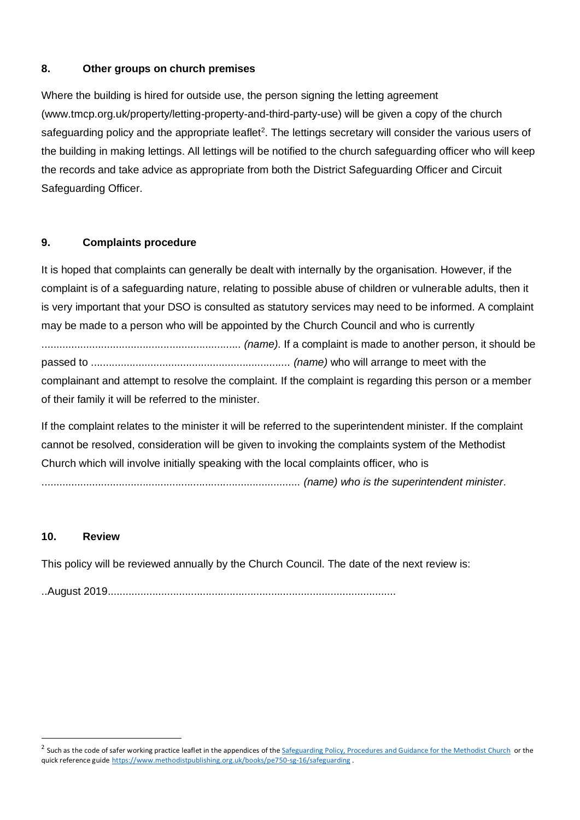#### **8. Other groups on church premises**

Where the building is hired for outside use, the person signing the letting agreement [\(www.tmcp.org.uk/property/letting-property-and-third-party-use\)](http://www.tmcp.org.uk/property/letting-property-and-third-party-use) will be given a copy of the church safeguarding policy and the appropriate leaflet<sup>2</sup>. The lettings secretary will consider the various users of the building in making lettings. All lettings will be notified to the church safeguarding officer who will keep the records and take advice as appropriate from both the District Safeguarding Officer and Circuit Safeguarding Officer.

#### **9. Complaints procedure**

It is hoped that complaints can generally be dealt with internally by the organisation. However, if the complaint is of a safeguarding nature, relating to possible abuse of children or vulnerable adults, then it is very important that your DSO is consulted as statutory services may need to be informed. A complaint may be made to a person who will be appointed by the Church Council and who is currently

................................................................... *(name)*. If a complaint is made to another person, it should be passed to ................................................................... *(name)* who will arrange to meet with the complainant and attempt to resolve the complaint. If the complaint is regarding this person or a member of their family it will be referred to the minister.

If the complaint relates to the minister it will be referred to the superintendent minister. If the complaint cannot be resolved, consideration will be given to invoking the complaints system of the Methodist Church which will involve initially speaking with the local complaints officer, who is

....................................................................................... *(name) who is the superintendent minister*.

#### **10. Review**

This policy will be reviewed annually by the Church Council. The date of the next review is:

..August 2019.................................................................................................

<sup>&</sup>lt;sup>2</sup> Such as the code of safer working practice leaflet in the appendices of th[e Safeguarding Policy, Procedures and Guidance for the Methodist Church](http://www.methodist.org.uk/for-ministers-and-office-holders/safeguarding/policies-procedure-and-information/policies-and-guidance/) or the quick reference guide <https://www.methodistpublishing.org.uk/books/pe750-sg-16/safeguarding> .